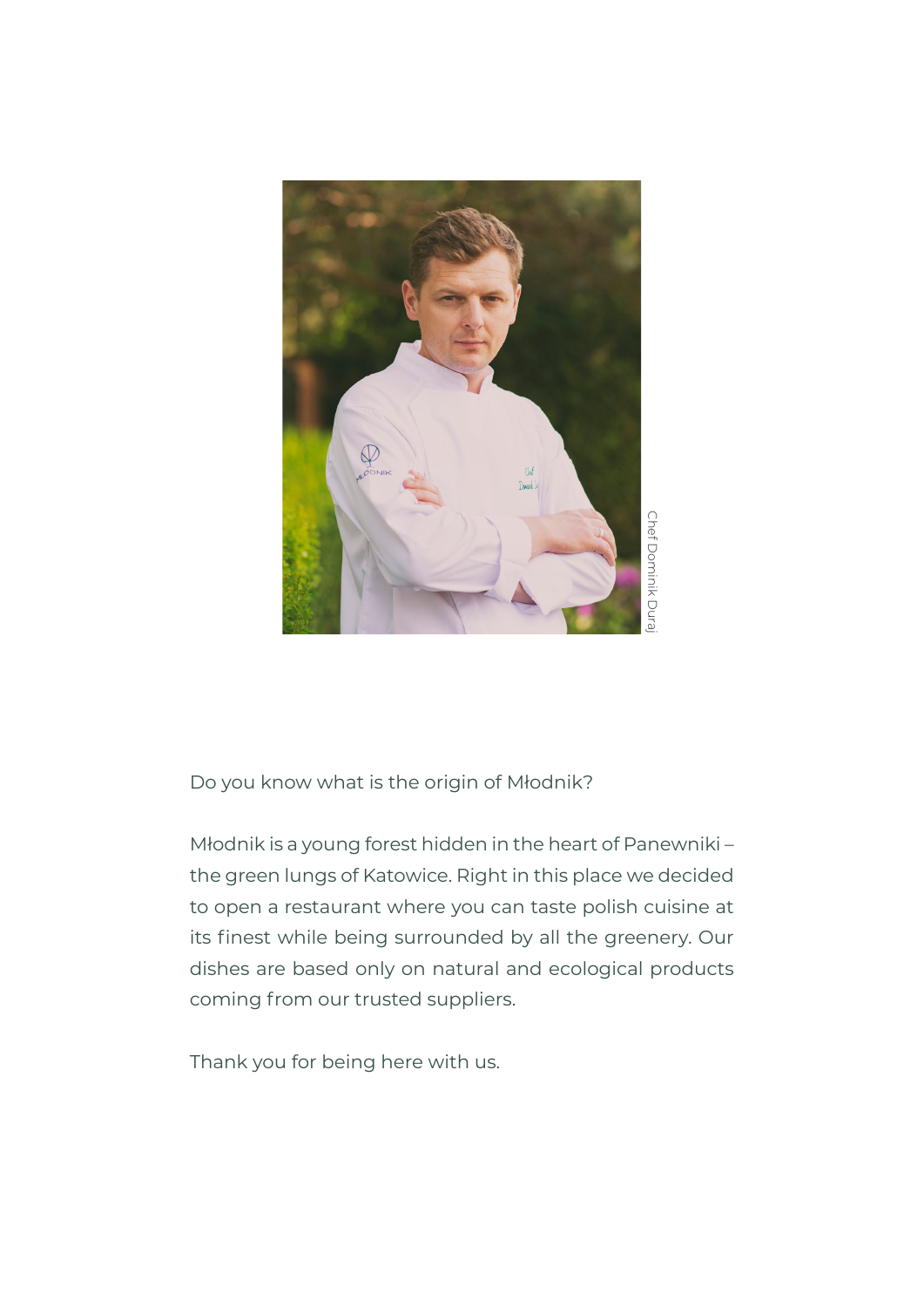

Do you know what is the origin of Młodnik?

Młodnik is a young forest hidden in the heart of Panewniki – the green lungs of Katowice. Right in this place we decided to open a restaurant where you can taste polish cuisine at its finest while being surrounded by all the greenery. Our dishes are based only on natural and ecological products coming from our trusted suppliers.

Thank you for being here with us.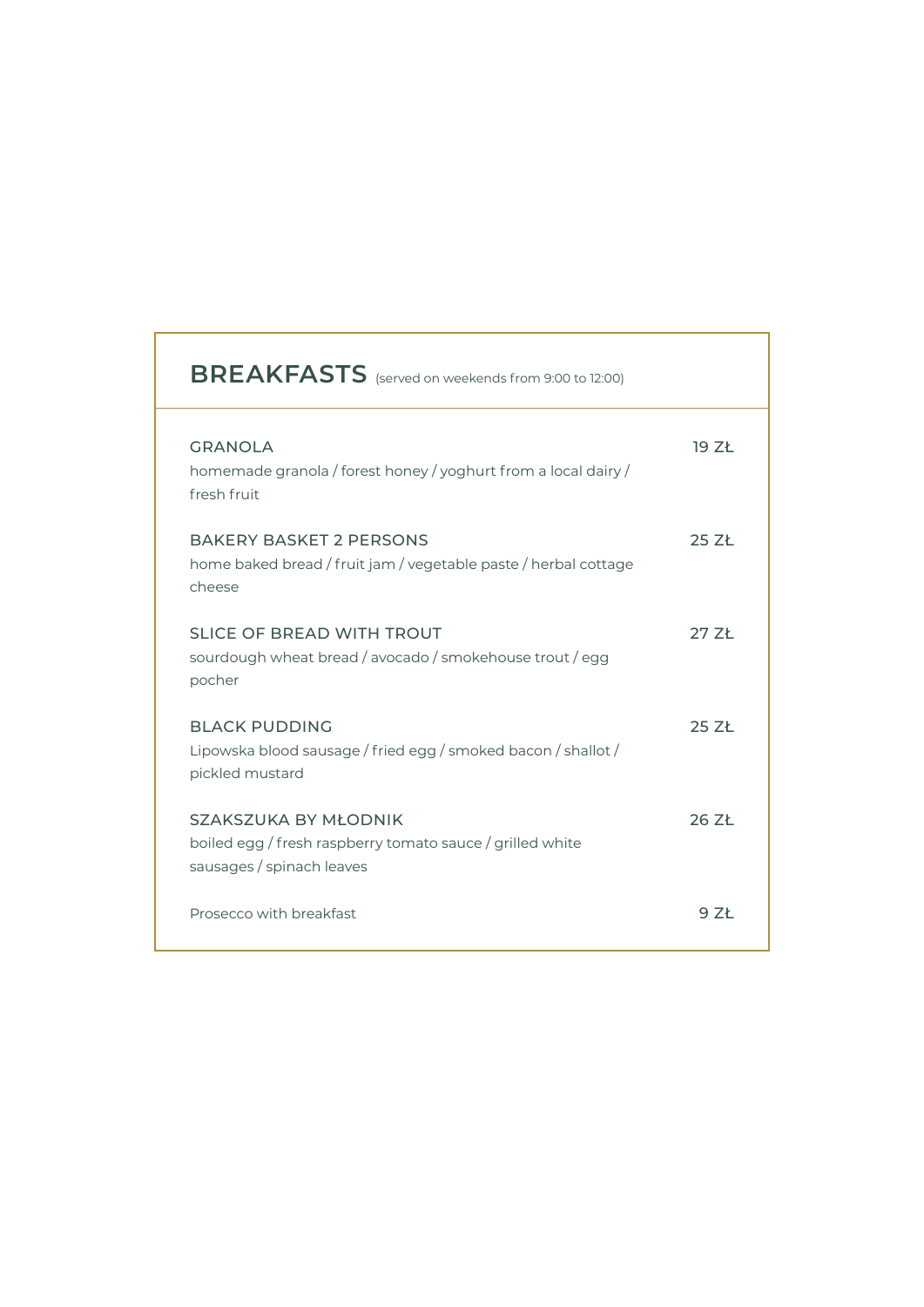| <b>BREAKFASTS</b> (served on weekends from 9:00 to 12:00)                                                      |                 |
|----------------------------------------------------------------------------------------------------------------|-----------------|
| <b>GRANOLA</b><br>homemade granola / forest honey / yoghurt from a local dairy /<br>fresh fruit                | 19Zt            |
| <b>BAKERY BASKET 2 PERSONS</b><br>home baked bread / fruit jam / vegetable paste / herbal cottage<br>cheese    | 25Zt            |
| SLICE OF BREAD WITH TROUT<br>sourdough wheat bread / avocado / smokehouse trout / egg<br>pocher                | 27Zt            |
| <b>BLACK PUDDING</b><br>Lipowska blood sausage / fried egg / smoked bacon / shallot /<br>pickled mustard       | 25Zt            |
| SZAKSZUKA BY MŁODNIK<br>boiled egg / fresh raspberry tomato sauce / grilled white<br>sausages / spinach leaves | 26 ZŁ           |
| Prosecco with breakfast                                                                                        | 97 <sup>k</sup> |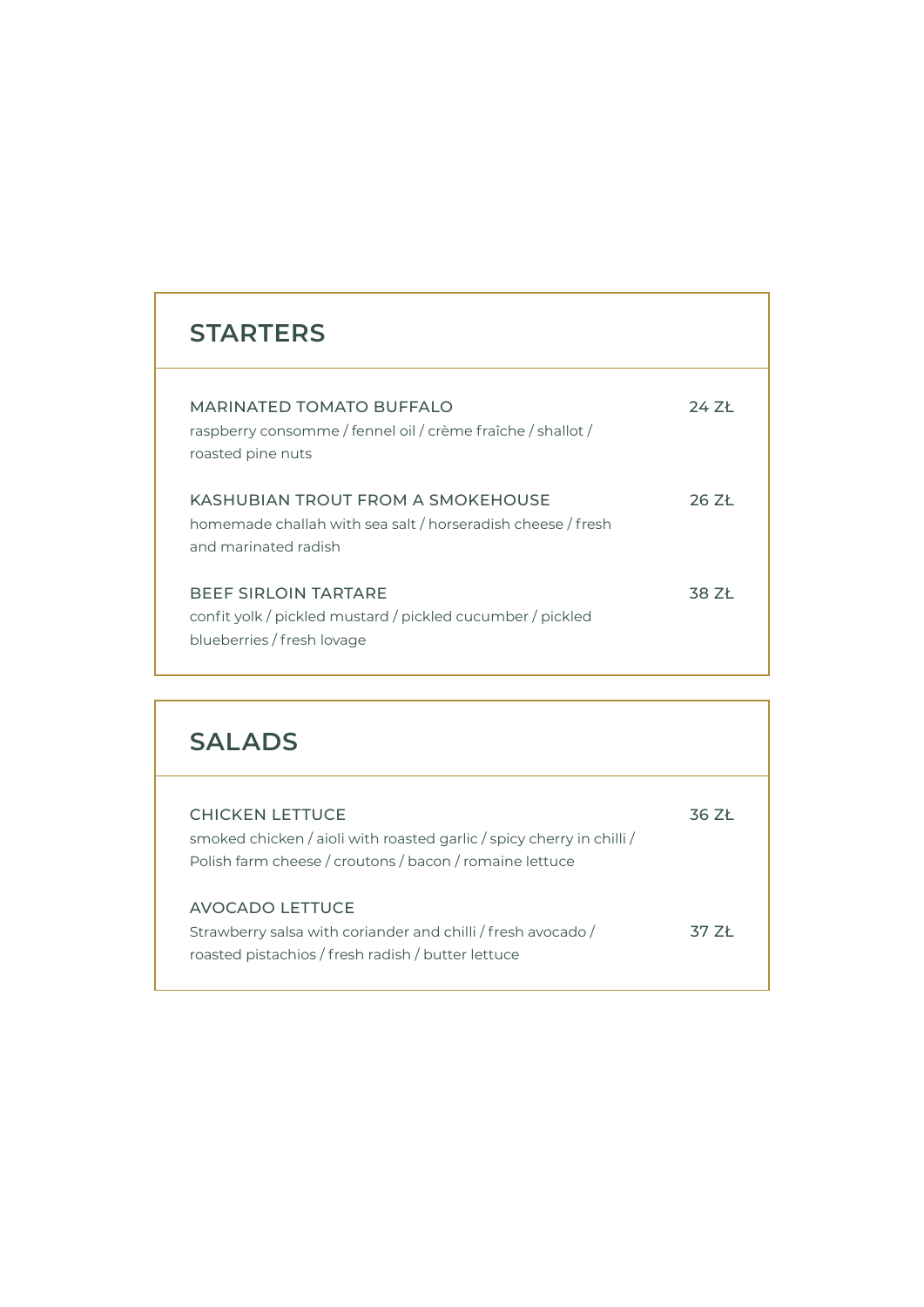| <b>STARTERS</b>                                                                                                          |                   |
|--------------------------------------------------------------------------------------------------------------------------|-------------------|
| <b>MARINATED TOMATO BUFFALO</b><br>raspberry consomme / fennel oil / crème fraîche / shallot /<br>roasted pine nuts      | 24 ZŁ             |
| KASHUBIAN TROUT FROM A SMOKEHOUSE<br>homemade challah with sea salt / horseradish cheese / fresh<br>and marinated radish | 26.7 <sup>k</sup> |
| <b>BEEF SIRLOIN TARTARE</b><br>confit yolk / pickled mustard / pickled cucumber / pickled<br>blueberries / fresh lovage  | 38 ZŁ             |

# **SALADS**

| <b>CHICKEN LETTUCE</b>                                                | 36 Zł |
|-----------------------------------------------------------------------|-------|
| smoked chicken / aioli with roasted garlic / spicy cherry in chilli / |       |
| Polish farm cheese / croutons / bacon / romaine lettuce               |       |
| AVOCADO LETTUCE                                                       |       |
| Strawberry salsa with coriander and chilli / fresh avocado /          | 37 Zł |
| roasted pistachios / fresh radish / butter lettuce                    |       |
|                                                                       |       |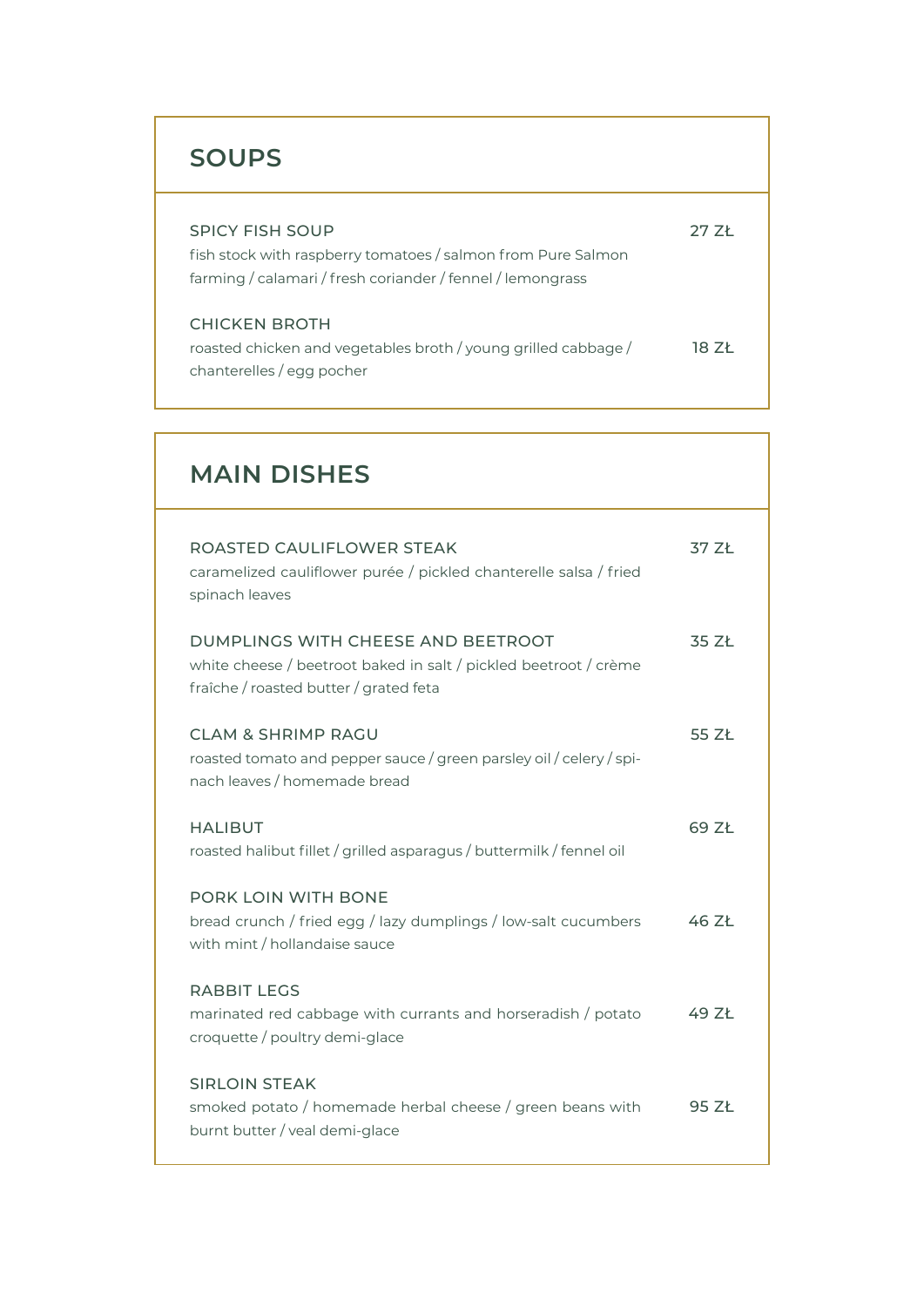# **SOUPS**

| <b>SPICY FISH SOUP</b>                                         | 27 ZŁ |
|----------------------------------------------------------------|-------|
| fish stock with raspberry tomatoes / salmon from Pure Salmon   |       |
| farming / calamari / fresh coriander / fennel / lemongrass     |       |
|                                                                |       |
| <b>CHICKEN BROTH</b>                                           |       |
| roasted chicken and vegetables broth / young grilled cabbage / | 18 ZŁ |
| chanterelles / egg pocher                                      |       |

| <b>MAIN DISHES</b>                                                                                                                               |       |
|--------------------------------------------------------------------------------------------------------------------------------------------------|-------|
| ROASTED CAULIFLOWER STEAK<br>caramelized cauliflower purée / pickled chanterelle salsa / fried<br>spinach leaves                                 | 37 ZŁ |
| DUMPLINGS WITH CHEESE AND BEETROOT<br>white cheese / beetroot baked in salt / pickled beetroot / crème<br>fraîche / roasted butter / grated feta | 35 ZŁ |
| <b>CLAM &amp; SHRIMP RAGU</b><br>roasted tomato and pepper sauce / green parsley oil / celery / spi-<br>nach leaves / homemade bread             | 55 ZŁ |
| <b>HALIBUT</b><br>roasted halibut fillet / grilled asparagus / buttermilk / fennel oil                                                           | 69 ZŁ |
| PORK LOIN WITH BONE<br>bread crunch / fried egg / lazy dumplings / low-salt cucumbers<br>with mint / hollandaise sauce                           | 46 ZŁ |
| RABBIT LEGS<br>marinated red cabbage with currants and horseradish / potato<br>croquette / poultry demi-glace                                    | 49 Zł |
| <b>SIRLOIN STEAK</b><br>smoked potato / homemade herbal cheese / green beans with<br>burnt butter / veal demi-glace                              | 95 ZŁ |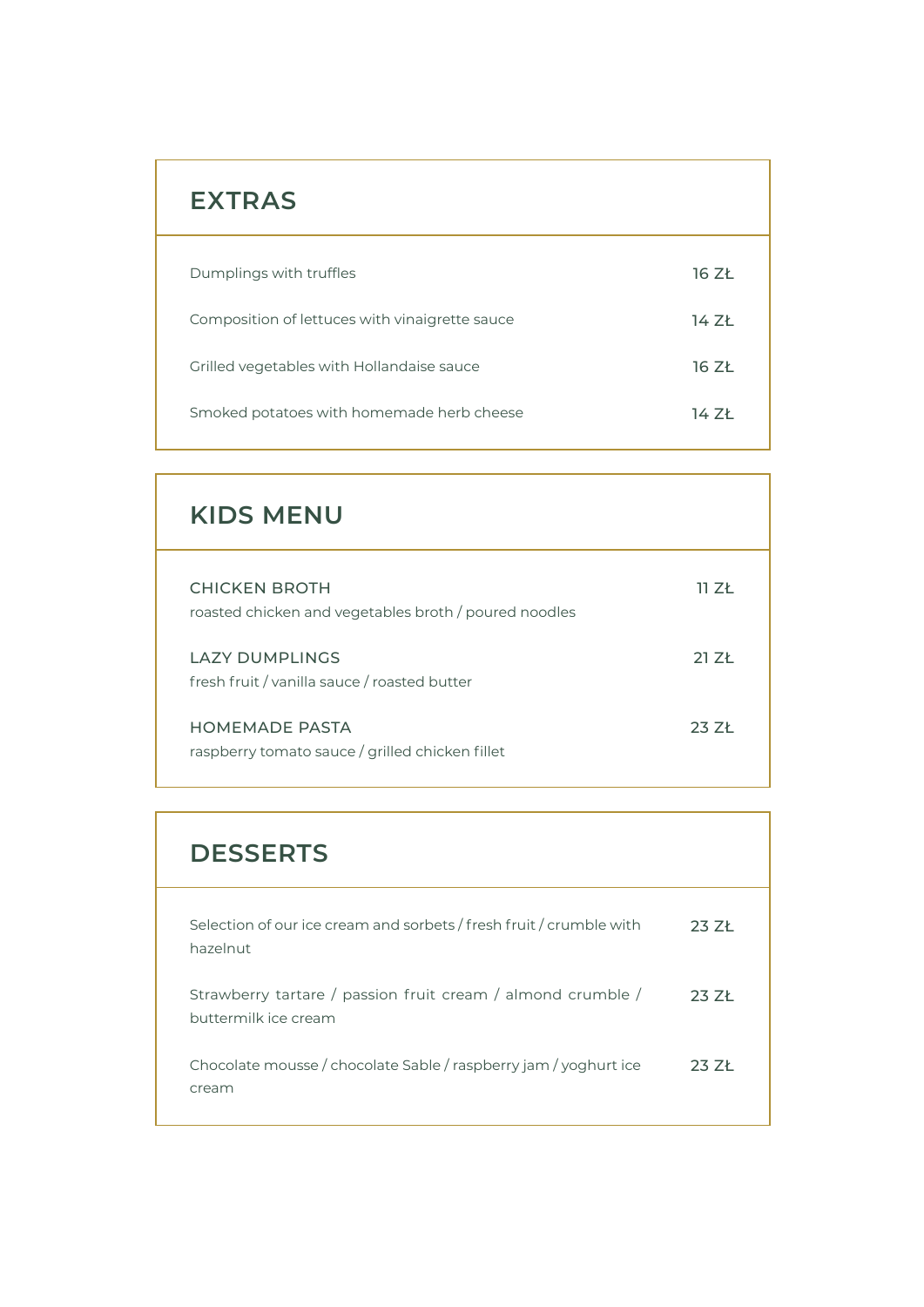## **EXTRAS**

| Dumplings with truffles                        | 16 ZŁ |
|------------------------------------------------|-------|
| Composition of lettuces with vinaigrette sauce | 14 ZŁ |
| Grilled vegetables with Hollandaise sauce      | 16 ZŁ |
| Smoked potatoes with homemade herb cheese      | 14 7ł |

| <b>KIDS MENU</b>                                                              |                   |
|-------------------------------------------------------------------------------|-------------------|
| <b>CHICKEN BROTH</b><br>roasted chicken and vegetables broth / poured noodles | 11.7 <sub>k</sub> |
| <b>LAZY DUMPLINGS</b><br>fresh fruit / vanilla sauce / roasted butter         | 21 Zł             |
| <b>HOMEMADE PASTA</b><br>raspberry tomato sauce / grilled chicken fillet      | 23.7 <sup>k</sup> |

# **DESSERTS**

| Selection of our ice cream and sorbets / fresh fruit / crumble with<br>hazelnut     | 23.7 <sub>k</sub> |
|-------------------------------------------------------------------------------------|-------------------|
| Strawberry tartare / passion fruit cream / almond crumble /<br>buttermilk ice cream | 23 ZŁ             |
| Chocolate mousse / chocolate Sable / raspberry jam / yoghurt ice<br>cream           | 23 ZŁ             |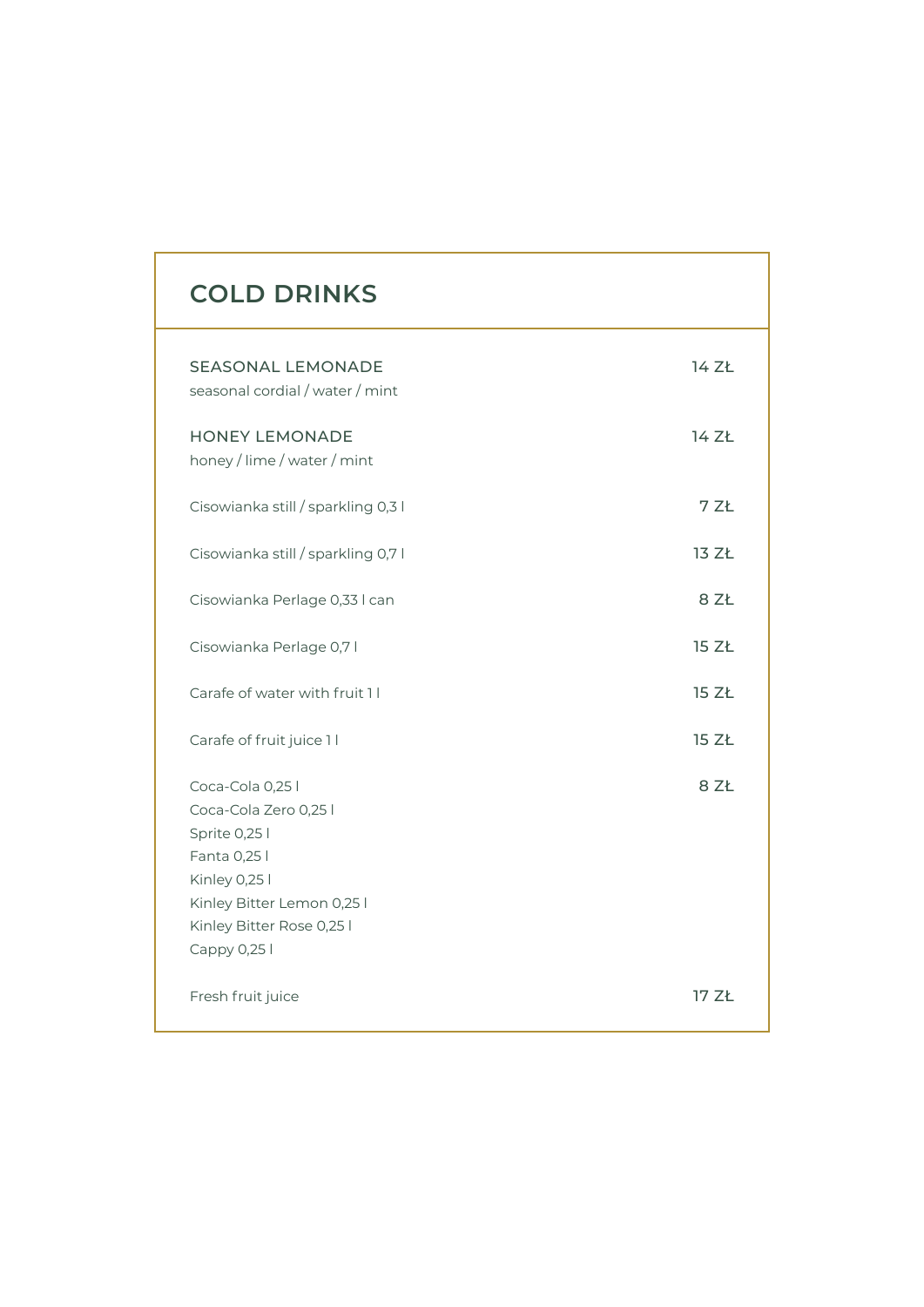| <b>COLD DRINKS</b>                                                                                                                                                     |       |
|------------------------------------------------------------------------------------------------------------------------------------------------------------------------|-------|
| <b>SEASONAL LEMONADE</b><br>seasonal cordial / water / mint                                                                                                            | 14 ZŁ |
| <b>HONEY LEMONADE</b><br>honey / lime / water / mint                                                                                                                   | 14 ZŁ |
| Cisowianka still / sparkling 0,3 l                                                                                                                                     | 7 ZŁ  |
| Cisowianka still / sparkling 0,7 l                                                                                                                                     | 13 ZŁ |
| Cisowianka Perlage 0,33 I can                                                                                                                                          | 8 ZŁ  |
| Cisowianka Perlage 0,7 l                                                                                                                                               | 15 ZŁ |
| Carafe of water with fruit 11                                                                                                                                          | 15 ZŁ |
| Carafe of fruit juice 11                                                                                                                                               | 15 ZŁ |
| Coca-Cola 0,25  <br>Coca-Cola Zero 0,25 l<br>Sprite 0,25 l<br>Fanta 0,25 l<br>Kinley 0,25 l<br>Kinley Bitter Lemon 0,25 l<br>Kinley Bitter Rose 0,25 l<br>Cappy 0,25 l | 8 ZŁ  |
| Fresh fruit juice                                                                                                                                                      | 17 ZŁ |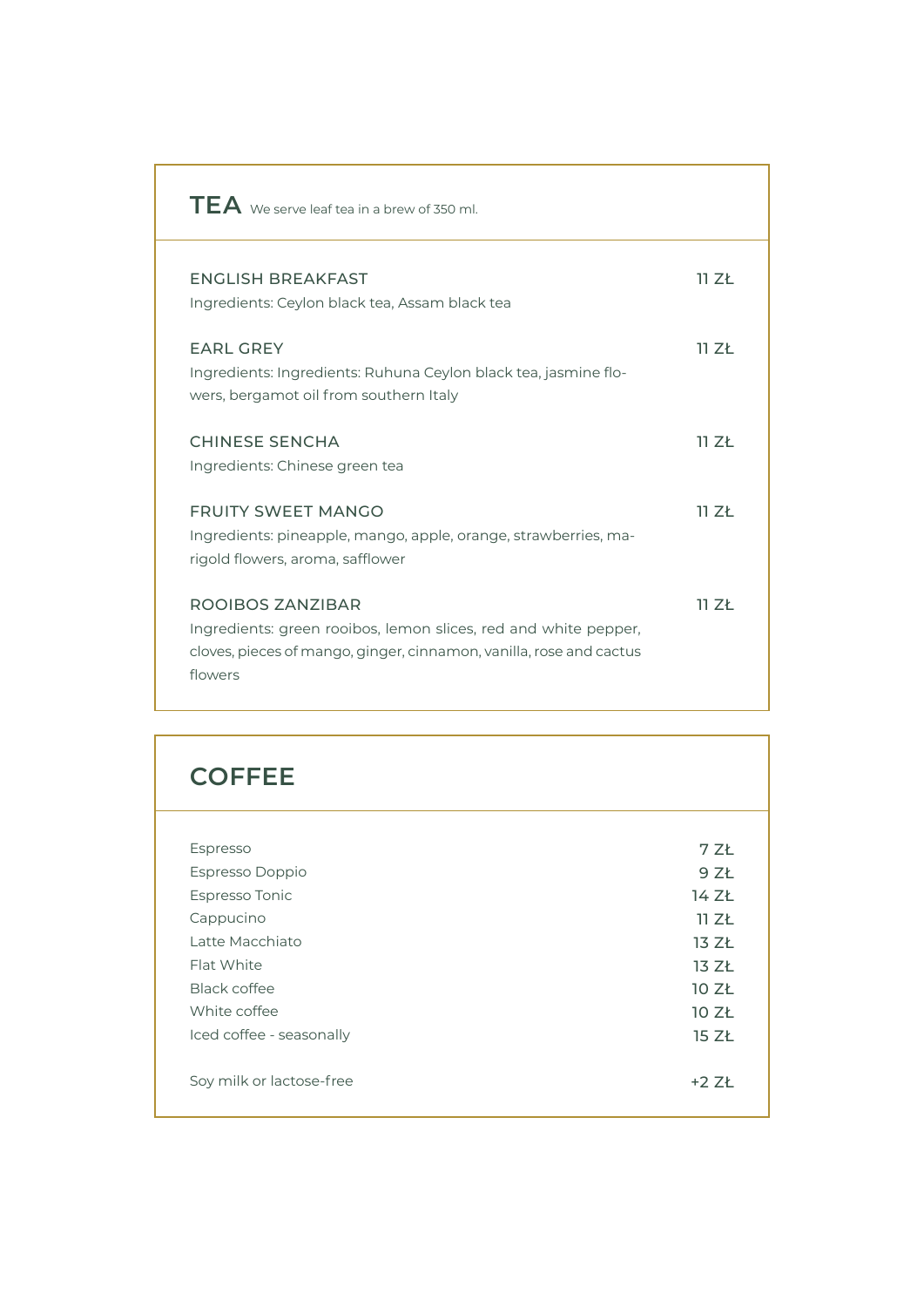| $TEA$ We serve leaf tea in a brew of 350 ml.                                                                                                                          |                   |
|-----------------------------------------------------------------------------------------------------------------------------------------------------------------------|-------------------|
| <b>ENGLISH BREAKFAST</b><br>Ingredients: Ceylon black tea, Assam black tea                                                                                            | 11.7 <sub>k</sub> |
| <b>EARL GREY</b><br>Ingredients: Ingredients: Ruhuna Ceylon black tea, jasmine flo-<br>wers, bergamot oil from southern Italy                                         | 11.7 <sup>k</sup> |
| <b>CHINESE SENCHA</b><br>Ingredients: Chinese green tea                                                                                                               | 11Zt              |
| <b>FRUITY SWEET MANGO</b><br>Ingredients: pineapple, mango, apple, orange, strawberries, ma-<br>rigold flowers, aroma, safflower                                      | 11Zt              |
| ROOIBOS ZANZIBAR<br>Ingredients: green rooibos, lemon slices, red and white pepper,<br>cloves, pieces of mango, ginger, cinnamon, vanilla, rose and cactus<br>flowers | 11.7 <sup>k</sup> |

| <b>COFFEE</b>            |                   |
|--------------------------|-------------------|
|                          |                   |
| Espresso                 | 7 ZŁ              |
| Espresso Doppio          | 9Zt               |
| Espresso Tonic           | 14 ZŁ             |
| Cappucino                | 11.7 <sub>k</sub> |
| Latte Macchiato          | 13 ZŁ             |
| Flat White               | 13 ZŁ             |
| Black coffee             | 10 ZŁ             |
| White coffee             | 10 ZŁ             |
| Iced coffee - seasonally | 15 ZŁ             |
|                          |                   |
| Soy milk or lactose-free | $+2$ ZŁ           |
|                          |                   |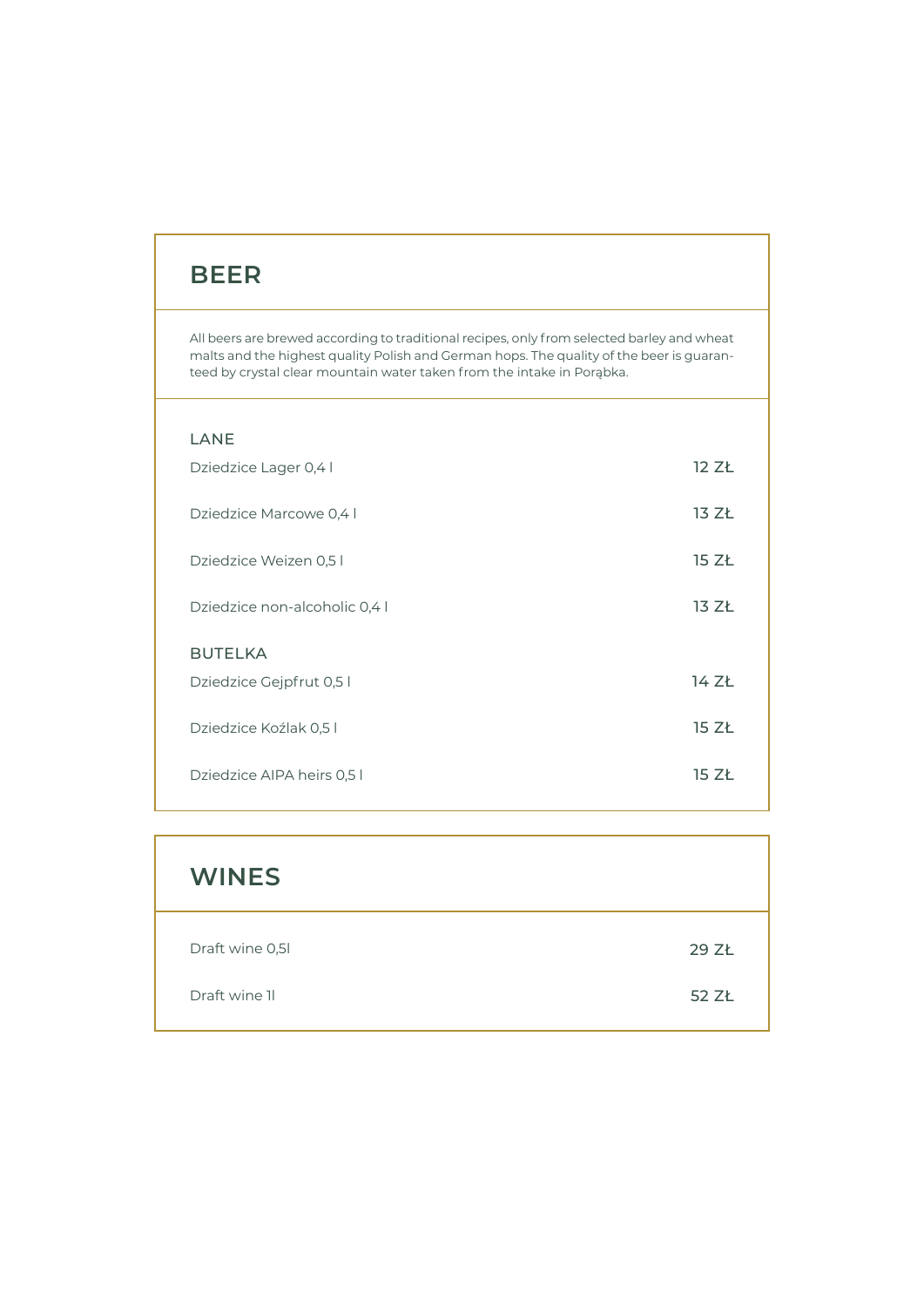# **BEER**

All beers are brewed according to traditional recipes, only from selected barley and wheat malts and the highest quality Polish and German hops. The quality of the beer is guaranteed by crystal clear mountain water taken from the intake in Porąbka.

| LANE                          |       |
|-------------------------------|-------|
| Dziedzice Lager 0,4 l         | 12 ZŁ |
| Dziedzice Marcowe 0,4 l       | 13 ZŁ |
| Dziedzice Weizen 0,5 l        | 15 ZŁ |
| Dziedzice non-alcoholic 0,4 l | 13 ZŁ |
| <b>BUTELKA</b>                |       |
| Dziedzice Gejpfrut 0,5 l      | 14 ZŁ |
| Dziedzice Koźlak 0,5 l        | 15 ZŁ |
| Dziedzice AIPA heirs 0,5 l    | 15 ZŁ |

| <b>WINES</b>    |       |
|-----------------|-------|
| Draft wine 0,5l | 29 ZŁ |
| Draft wine 1    | 52 ZŁ |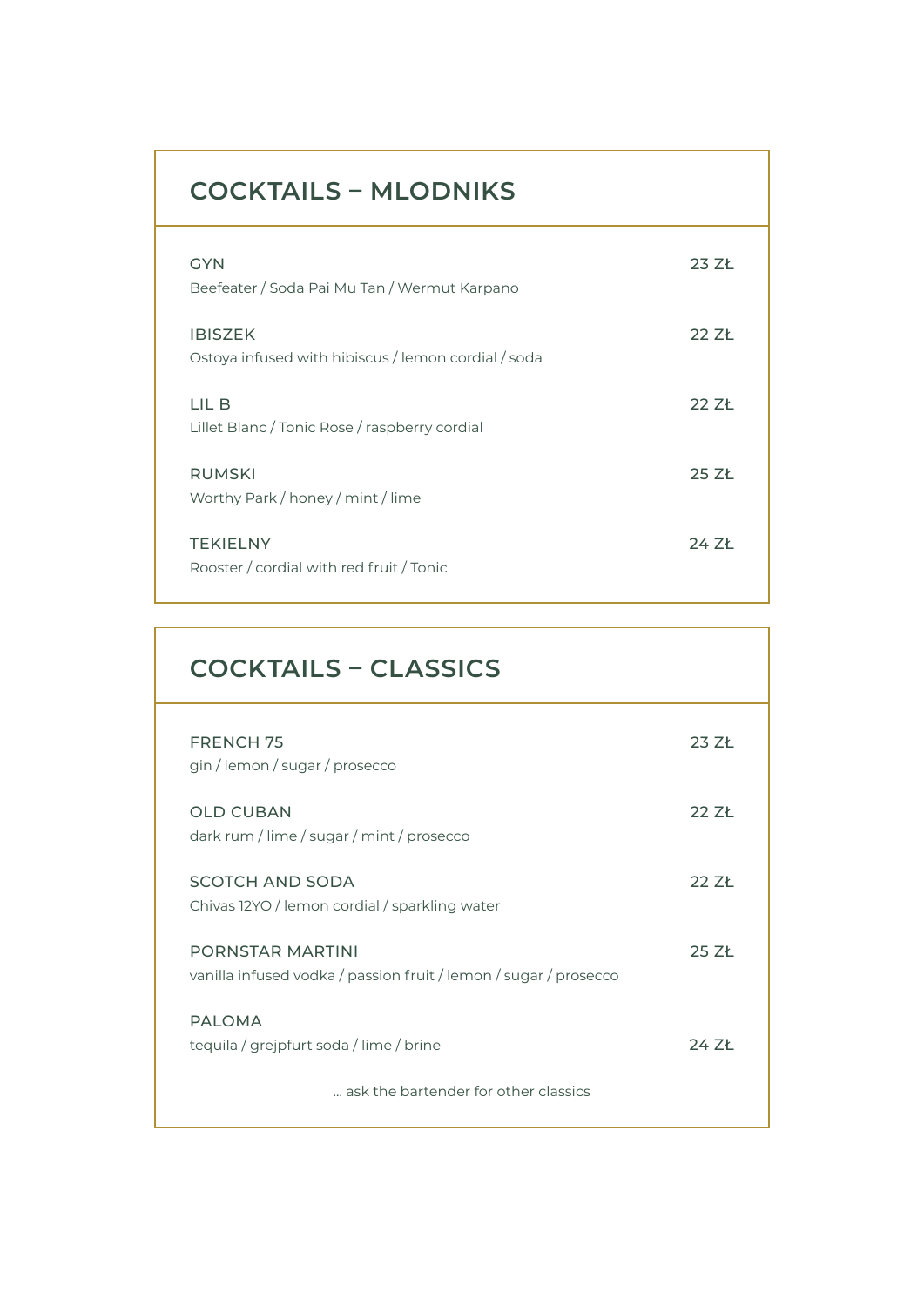# **COCKTAILS – MLODNIKS**

| <b>GYN</b><br>Beefeater / Soda Pai Mu Tan / Wermut Karpano            | 23 ZŁ |
|-----------------------------------------------------------------------|-------|
| <b>IBISZEK</b><br>Ostoya infused with hibiscus / lemon cordial / soda | 22 ZŁ |
| LIL B<br>Lillet Blanc / Tonic Rose / raspberry cordial                | 22 ZŁ |
| <b>RUMSKI</b><br>Worthy Park / honey / mint / lime                    | 25 ZŁ |
| <b>TEKIELNY</b><br>Rooster / cordial with red fruit / Tonic           | 24 7ł |

| <b>COCKTAILS - CLASSICS</b>                                                          |         |
|--------------------------------------------------------------------------------------|---------|
| <b>FRENCH 75</b><br>gin / lemon / sugar / prosecco                                   | $237+$  |
| <b>OLD CUBAN</b><br>dark rum / lime / sugar / mint / prosecco                        | 22Zt    |
| <b>SCOTCH AND SODA</b><br>Chivas 12YO / lemon cordial / sparkling water              | $22Z +$ |
| PORNSTAR MARTINI<br>vanilla infused vodka / passion fruit / lemon / sugar / prosecco | 25Zt    |
| <b>PALOMA</b><br>tequila / grejpfurt soda / lime / brine                             | 24 ZŁ   |
| ask the bartender for other classics                                                 |         |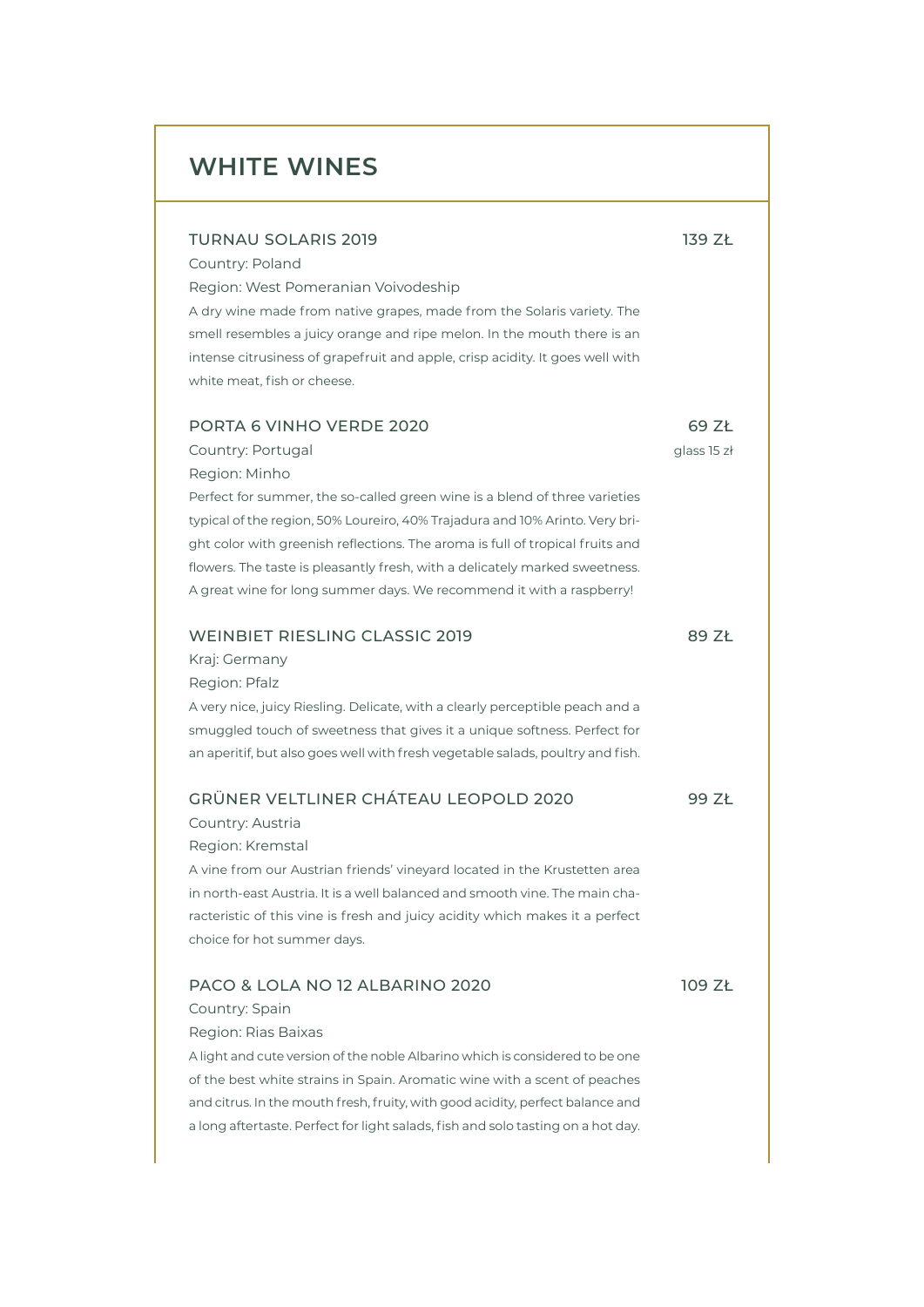## **WHITE WINES** TURNAU SOLARIS 2019 Country: Poland Region: West Pomeranian Voivodeship A dry wine made from native grapes, made from the Solaris variety. The smell resembles a juicy orange and ripe melon. In the mouth there is an intense citrusiness of grapefruit and apple, crisp acidity. It goes well with white meat, fish or cheese. PORTA 6 VINHO VERDE 2020 Country: Portugal Region: Minho Perfect for summer, the so-called green wine is a blend of three varieties typical of the region, 50% Loureiro, 40% Trajadura and 10% Arinto. Very bright color with greenish reflections. The aroma is full of tropical fruits and flowers. The taste is pleasantly fresh, with a delicately marked sweetness. A great wine for long summer days. We recommend it with a raspberry!

## WEINBIET RIESLING CLASSIC 2019

Kraj: Germany

Region: Pfalz

A very nice, juicy Riesling. Delicate, with a clearly perceptible peach and a smuggled touch of sweetness that gives it a unique softness. Perfect for an aperitif, but also goes well with fresh vegetable salads, poultry and fish.

### GRÜNER VELTLINER CHÁTEAU LEOPOLD 2020

Country: Austria Region: Kremstal

A vine from our Austrian friends' vineyard located in the Krustetten area in north-east Austria. It is a well balanced and smooth vine. The main characteristic of this vine is fresh and juicy acidity which makes it a perfect choice for hot summer days.

### PACO & LOLA NO 12 ALBARINO 2020 Country: Spain Region: Rias Baixas A light and cute version of the noble Albarino which is considered to be one of the best white strains in Spain. Aromatic wine with a scent of peaches 109 ZŁ

and citrus. In the mouth fresh, fruity, with good acidity, perfect balance and a long aftertaste. Perfect for light salads, fish and solo tasting on a hot day. 139 ZŁ

69 ZŁ

glass 15 zł

89 ZŁ

99 ZŁ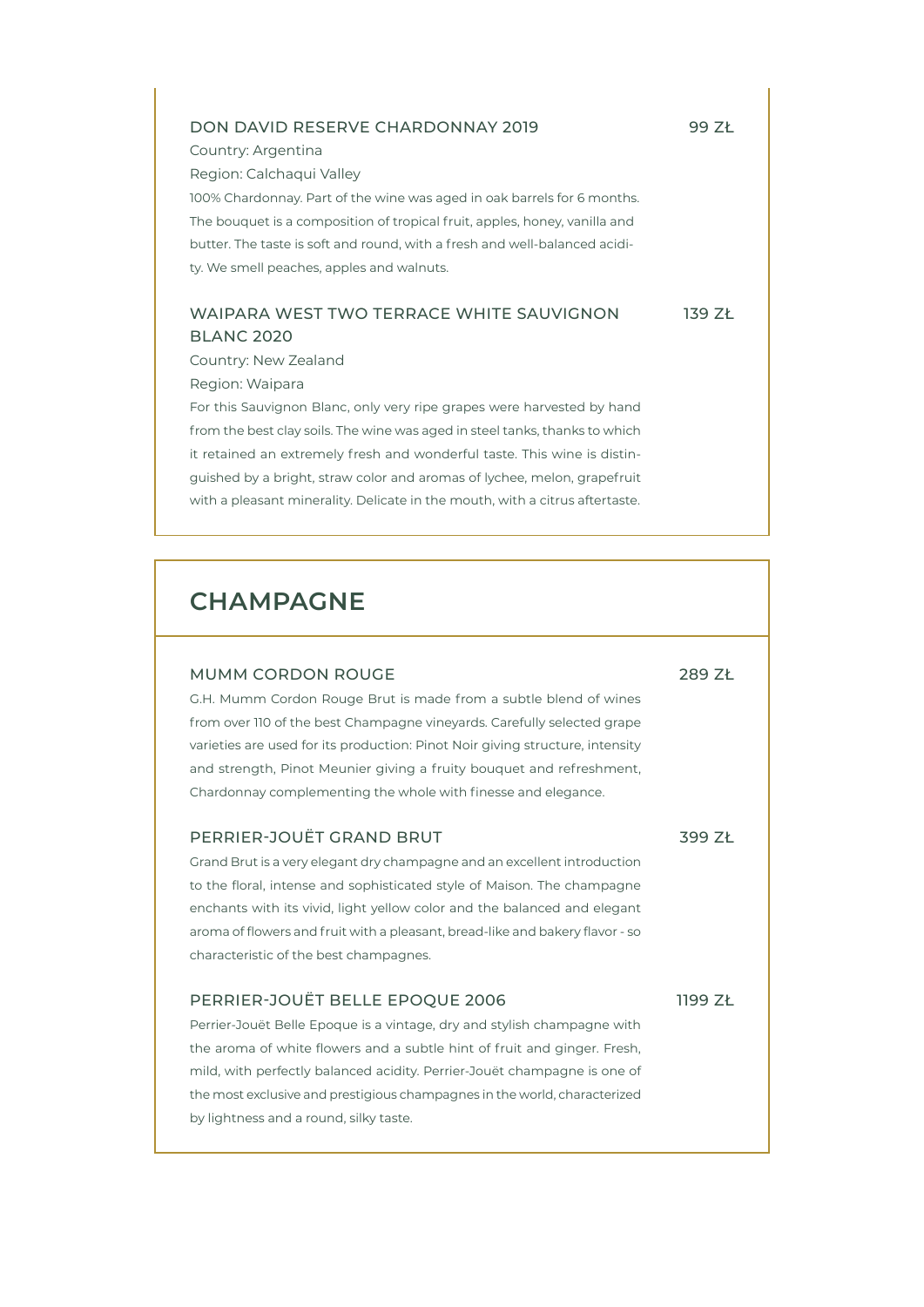## DON DAVID RESERVE CHARDONNAY 2019

Country: Argentina

Region: Calchaqui Valley

100% Chardonnay. Part of the wine was aged in oak barrels for 6 months. The bouquet is a composition of tropical fruit, apples, honey, vanilla and butter. The taste is soft and round, with a fresh and well-balanced acidity. We smell peaches, apples and walnuts.

### WAIPARA WEST TWO TERRACE WHITE SAUVIGNON BLANC 2020

139 ZŁ

Country: New Zealand

Region: Waipara

For this Sauvignon Blanc, only very ripe grapes were harvested by hand from the best clay soils. The wine was aged in steel tanks, thanks to which it retained an extremely fresh and wonderful taste. This wine is distinguished by a bright, straw color and aromas of lychee, melon, grapefruit with a pleasant minerality. Delicate in the mouth, with a citrus aftertaste.

## **CHAMPAGNE**

### MUMM CORDON ROUGE

G.H. Mumm Cordon Rouge Brut is made from a subtle blend of wines from over 110 of the best Champagne vineyards. Carefully selected grape varieties are used for its production: Pinot Noir giving structure, intensity and strength, Pinot Meunier giving a fruity bouquet and refreshment, Chardonnay complementing the whole with finesse and elegance.

#### PERRIER-JOUËT GRAND BRUT

Grand Brut is a very elegant dry champagne and an excellent introduction to the floral, intense and sophisticated style of Maison. The champagne enchants with its vivid, light yellow color and the balanced and elegant aroma of flowers and fruit with a pleasant, bread-like and bakery flavor - so characteristic of the best champagnes.

#### PERRIER-JOUËT BELLE EPOQUE 2006

Perrier-Jouët Belle Epoque is a vintage, dry and stylish champagne with the aroma of white flowers and a subtle hint of fruit and ginger. Fresh, mild, with perfectly balanced acidity. Perrier-Jouët champagne is one of the most exclusive and prestigious champagnes in the world, characterized by lightness and a round, silky taste.

399 ZŁ

289 ZŁ

1199 ZŁ

99 ZŁ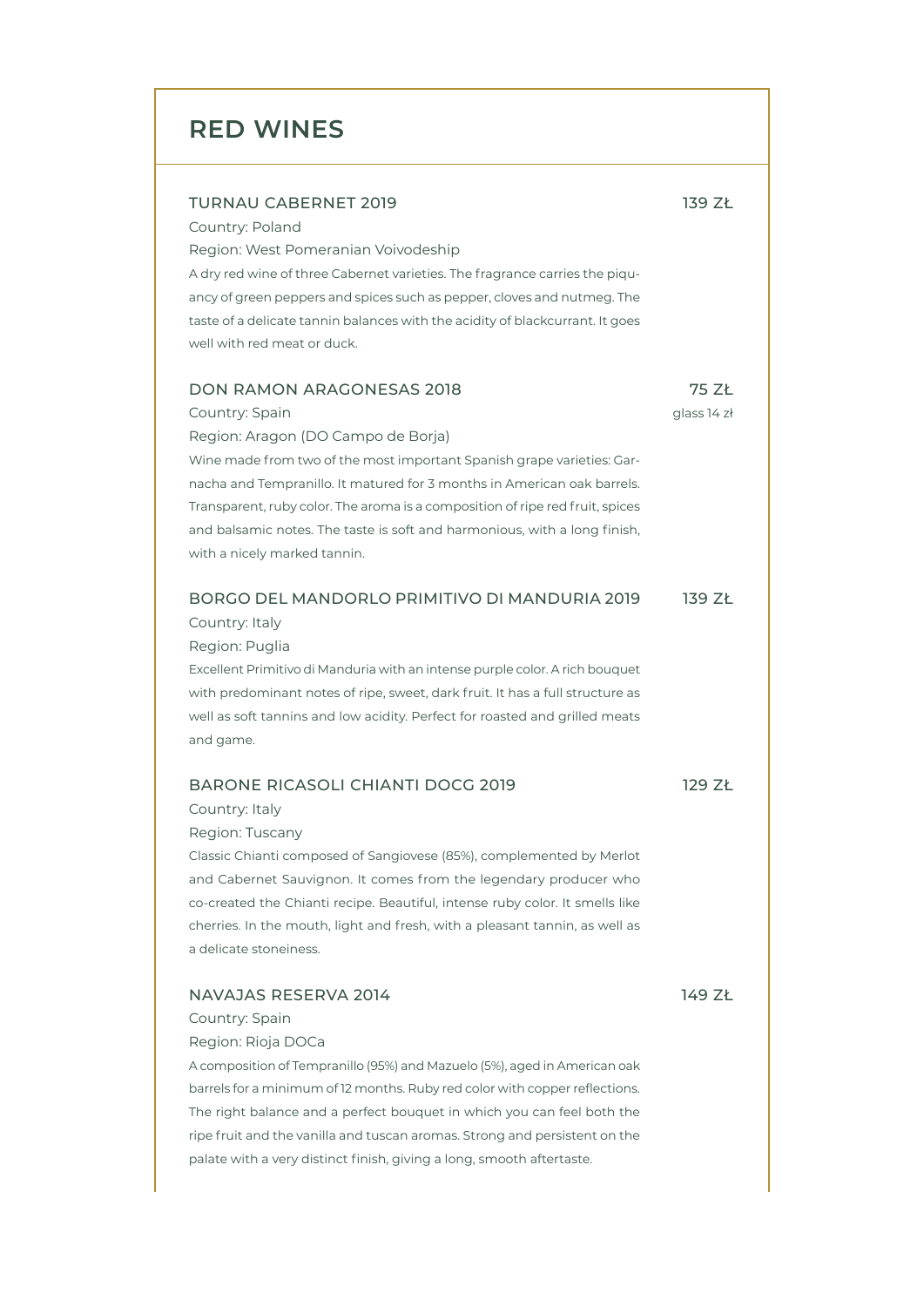| <b>TURNAU CABERNET 2019</b><br>Country: Poland<br>Region: West Pomeranian Voivodeship<br>A dry red wine of three Cabernet varieties. The fragrance carries the piqu-<br>ancy of green peppers and spices such as pepper, cloves and nutmeg. The<br>taste of a delicate tannin balances with the acidity of blackcurrant. It goes<br>well with red meat or duck.                                                                                                  | 139 ZŁ               |
|------------------------------------------------------------------------------------------------------------------------------------------------------------------------------------------------------------------------------------------------------------------------------------------------------------------------------------------------------------------------------------------------------------------------------------------------------------------|----------------------|
| <b>DON RAMON ARAGONESAS 2018</b><br>Country: Spain<br>Region: Aragon (DO Campo de Borja)<br>Wine made from two of the most important Spanish grape varieties: Gar-<br>nacha and Tempranillo. It matured for 3 months in American oak barrels.<br>Transparent, ruby color. The aroma is a composition of ripe red fruit, spices<br>and balsamic notes. The taste is soft and harmonious, with a long finish,<br>with a nicely marked tannin.                      | 75 ZŁ<br>glass 14 zł |
| BORGO DEL MANDORLO PRIMITIVO DI MANDURIA 2019<br>Country: Italy<br>Region: Puglia<br>Excellent Primitivo di Manduria with an intense purple color. A rich bouquet<br>with predominant notes of ripe, sweet, dark fruit. It has a full structure as<br>well as soft tannins and low acidity. Perfect for roasted and grilled meats<br>and game.                                                                                                                   | 139 ZŁ               |
| <b>BARONE RICASOLI CHIANTI DOCG 2019</b><br>Country: Italy<br>Region: Tuscany<br>Classic Chianti composed of Sangiovese (85%), complemented by Merlot<br>and Cabernet Sauvignon. It comes from the legendary producer who<br>co-created the Chianti recipe. Beautiful, intense ruby color. It smells like<br>cherries. In the mouth, light and fresh, with a pleasant tannin, as well as<br>a delicate stoneiness.                                               | 129 ZŁ               |
| <b>NAVAJAS RESERVA 2014</b><br>Country: Spain<br>Region: Rioja DOCa<br>A composition of Tempranillo (95%) and Mazuelo (5%), aged in American oak<br>barrels for a minimum of 12 months. Ruby red color with copper reflections.<br>The right balance and a perfect bouquet in which you can feel both the<br>ripe fruit and the vanilla and tuscan aromas. Strong and persistent on the<br>palate with a very distinct finish, giving a long, smooth aftertaste. | 149 ZŁ               |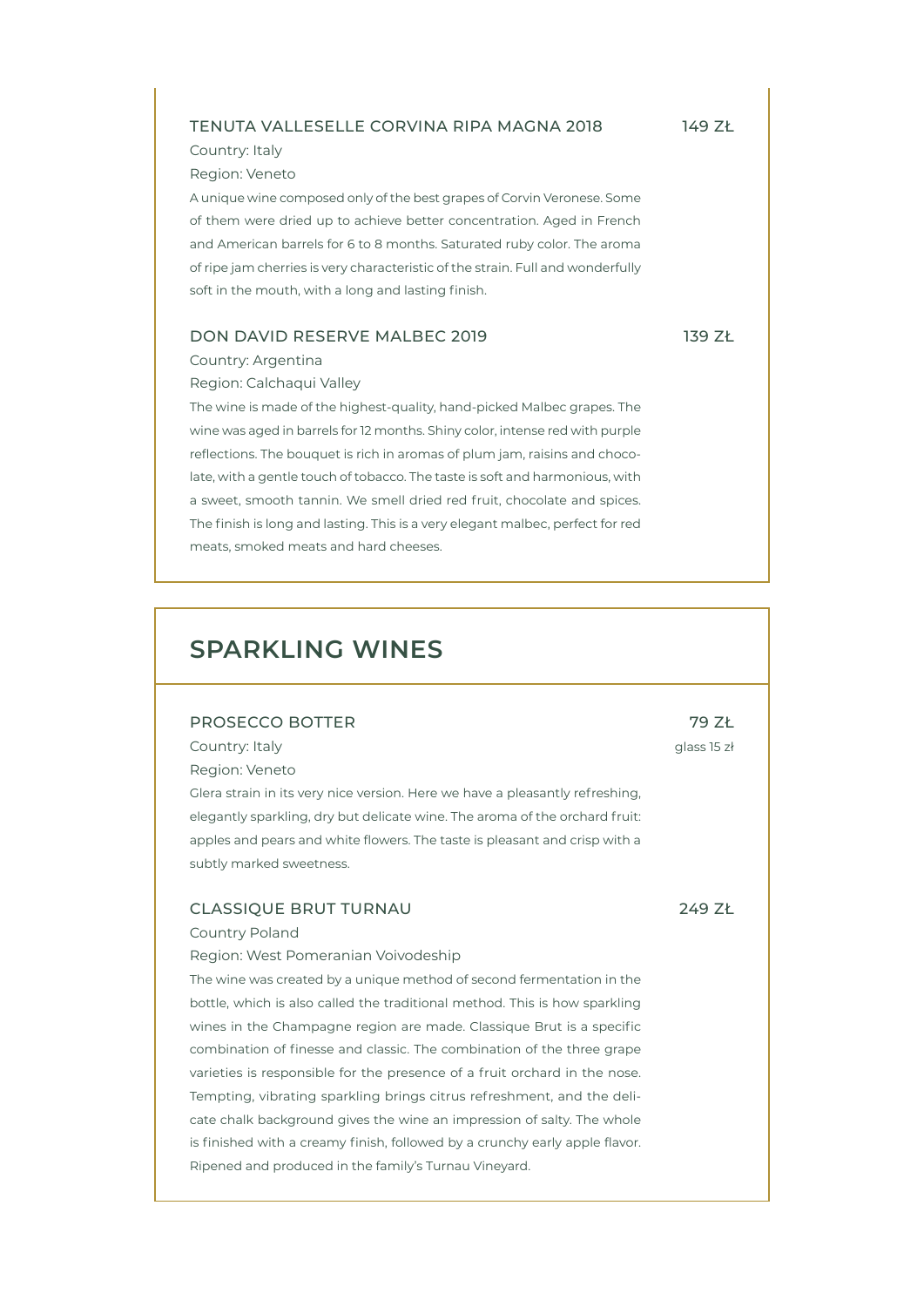### TENUTA VALLESELLE CORVINA RIPA MAGNA 2018

149 ZŁ

Country: Italy

Region: Veneto

A unique wine composed only of the best grapes of Corvin Veronese. Some of them were dried up to achieve better concentration. Aged in French and American barrels for 6 to 8 months. Saturated ruby color. The aroma of ripe jam cherries is very characteristic of the strain. Full and wonderfully soft in the mouth, with a long and lasting finish.

### DON DAVID RESERVE MALBEC 2019

139 ZŁ

Country: Argentina

Region: Calchaqui Valley

The wine is made of the highest-quality, hand-picked Malbec grapes. The wine was aged in barrels for 12 months. Shiny color, intense red with purple reflections. The bouquet is rich in aromas of plum jam, raisins and chocolate, with a gentle touch of tobacco. The taste is soft and harmonious, with a sweet, smooth tannin. We smell dried red fruit, chocolate and spices. The finish is long and lasting. This is a very elegant malbec, perfect for red meats, smoked meats and hard cheeses.

## **SPARKLING WINES**

| PROSECCO BOTTER                                                              | 79 ZŁ       |
|------------------------------------------------------------------------------|-------------|
| Country: Italy                                                               | glass 15 zł |
| Region: Veneto                                                               |             |
| Glera strain in its very nice version. Here we have a pleasantly refreshing, |             |

elegantly sparkling, dry but delicate wine. The aroma of the orchard fruit: apples and pears and white flowers. The taste is pleasant and crisp with a subtly marked sweetness.

### CLASSIQUE BRUT TURNAU

#### Country Poland

Region: West Pomeranian Voivodeship

The wine was created by a unique method of second fermentation in the bottle, which is also called the traditional method. This is how sparkling wines in the Champagne region are made. Classique Brut is a specific combination of finesse and classic. The combination of the three grape varieties is responsible for the presence of a fruit orchard in the nose. Tempting, vibrating sparkling brings citrus refreshment, and the delicate chalk background gives the wine an impression of salty. The whole is finished with a creamy finish, followed by a crunchy early apple flavor. Ripened and produced in the family's Turnau Vineyard.

249 ZŁ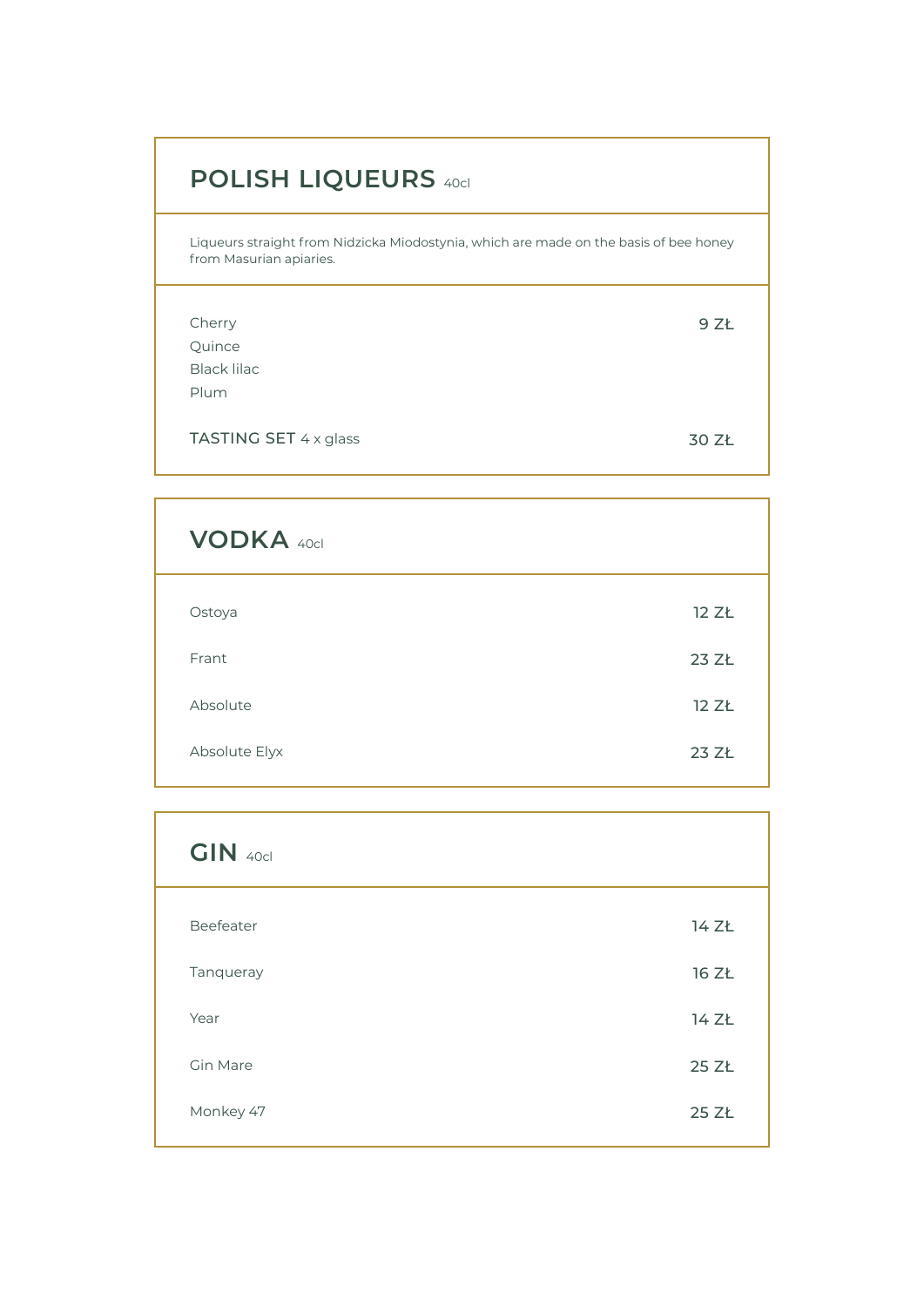## **POLISH LIQUEURS** 40cl

Liqueurs straight from Nidzicka Miodostynia, which are made on the basis of bee honey from Masurian apiaries.

| Cherry                       | 9 ZŁ  |
|------------------------------|-------|
| Quince                       |       |
| Black lilac                  |       |
| Plum                         |       |
|                              |       |
| <b>TASTING SET 4 x glass</b> | 30 ZŁ |
|                              |       |

| <b>VODKA</b> 40cl |       |
|-------------------|-------|
| Ostoya            | 12 ZŁ |
| Frant             | 23 ZŁ |
| Absolute          | 12 ZŁ |
| Absolute Elyx     | 23 ZŁ |
|                   |       |

| <b>GIN 40cl</b> |       |
|-----------------|-------|
| Beefeater       | 14 ZŁ |
| Tanqueray       | 16 ZŁ |
| Year            | 14 ZŁ |
| Gin Mare        | 25 ZŁ |
| Monkey 47       | 25 ZŁ |
|                 |       |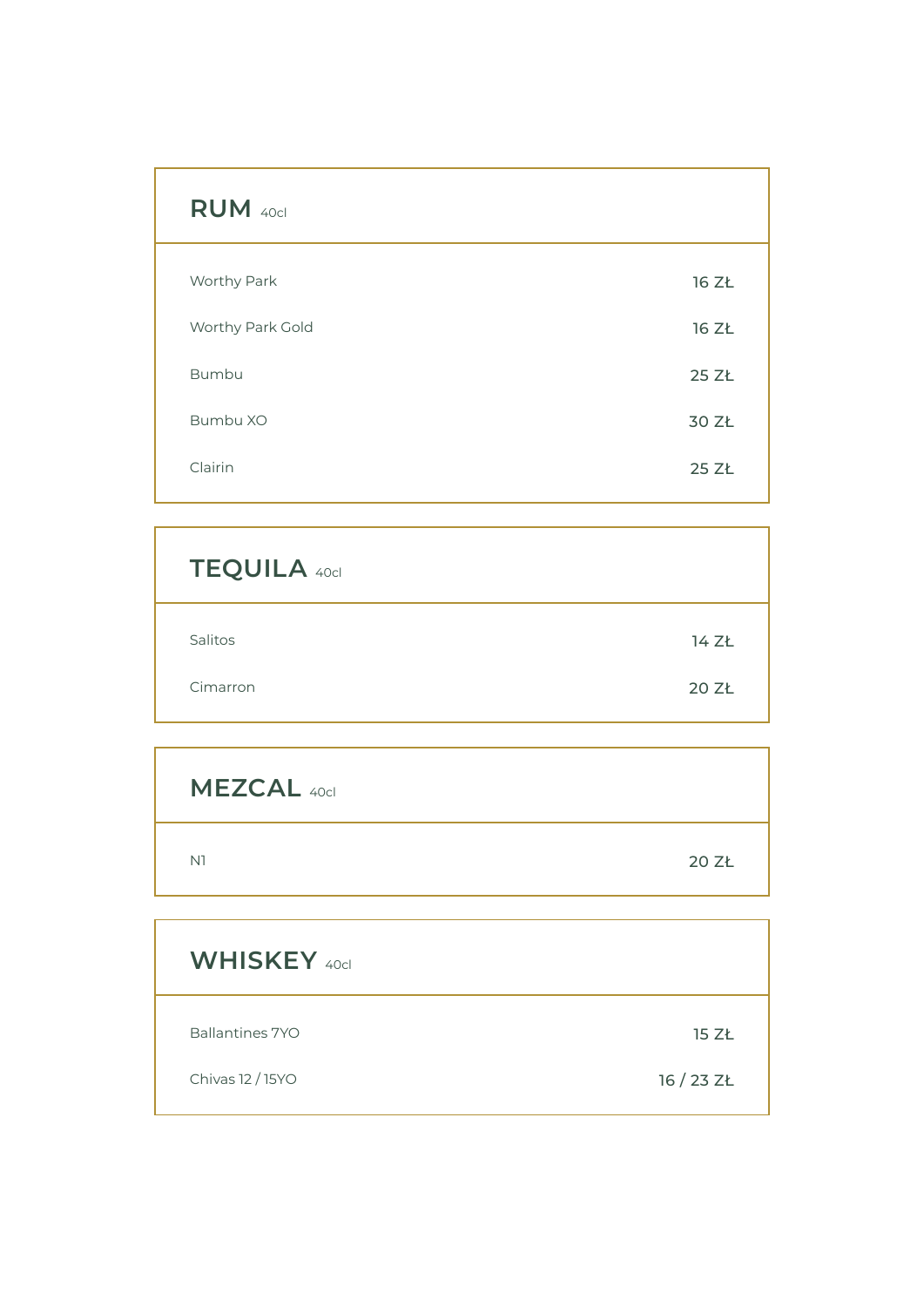| <b>RUM</b> 40cl  |       |
|------------------|-------|
| Worthy Park      | 16 ZŁ |
| Worthy Park Gold | 16 ZŁ |
| Bumbu            | 25 ZŁ |
| Bumbu XO         | 30 ZŁ |
| Clairin          | 25 ZŁ |
|                  |       |

| <b>TEQUILA 40cl</b> |       |
|---------------------|-------|
| Salitos             | 14 ZŁ |
| Cimarron            | 20 ZŁ |

| <b>MEZCAL 40cl</b> |       |
|--------------------|-------|
| N1                 | 20 ZŁ |

| <b>WHISKEY</b> 40cl |            |
|---------------------|------------|
| Ballantines 7YO     | 15 ZŁ      |
| Chivas 12 / 15YO    | 16 / 23 ZŁ |